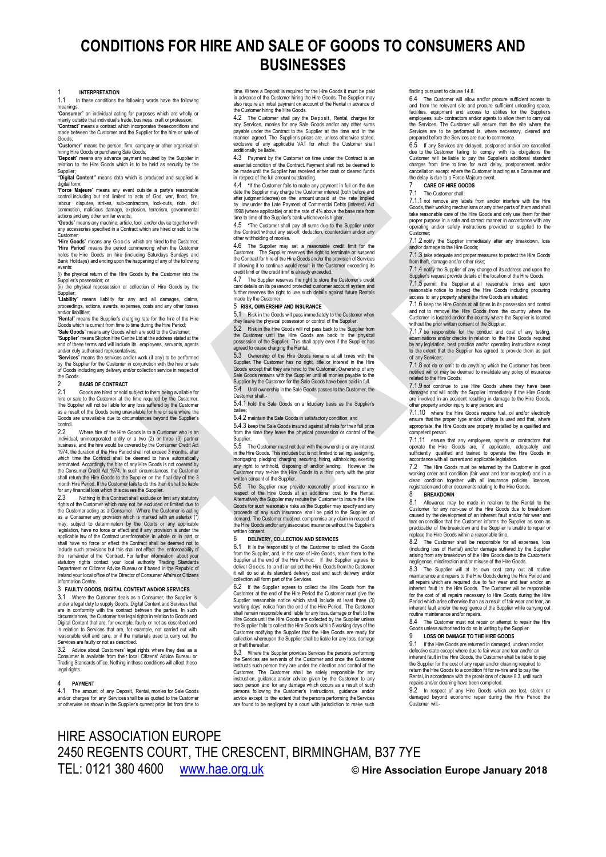# **CONDITIONS FOR HIRE AND SALE OF GOODS TO CONSUMERS AND BUSINESSES**

1 **INTERPRETATION** In these conditions the following words have the following

meanings:<br>Consumi mer" an individual acting for purposes which are wholly or mainly outside that individual's trade, business, craft or profession; "**Contract**" means a contract which incorporates theseconditions and

made between the Customer and the Supplier for the hire or sale of Goods; "**Customer**" means the person, firm, company or other organisation

hiring Hire Goods or purchasing Sale Goods; "**Deposit**" means any advance payment required by the Supplier in

relation to the Hire Goods which is to be held as security by the supplier;<br>"Digital Content" means data which is produced and supplied in

"Digital Content" means data which is produced and supplied in<br>digital form; means any event outside a party's reasonable<br>control including but not limited to acts of God, war, flood, fire,<br>labour disputes, strikes, sub-co

actions and any other similar events;<br>"**Goods**" means any machine, article, tool, and/or device together with<br>any accessories specified in a Contract which are hired or sold to the

Customer; "**Hire Goods**" means any Goods which are hired to the Customer; "**Hire Period**" means the period commencing when the Customer holds the Hire Goods on hire (including Saturdays Sundays and Bank Holidays) and ending upon the happening of any of the following

events: (i) the physical return of the Hire Goods by the Customer into the

Supplier's possession; or (ii) the physical repossession or collection of Hire Goods by the

Supplier;<br>"Li**ability**" means liability for any and all damages, claims,<br>proceedings, actions, awards, expenses, costs and any other losses<br>and/or liabilities;

"**Rental**" means the Supplier's charging rate for the hire of the Hire Goods which is current from time to time during the Hire Period; "**Sale Goods**" means any Goods which are sold to the Customer;

"**Supplier**" means Skipton Hire Centre Ltd at the address stated at the end of these terms and will include its employees, servants, agents

and/or duly authorised representatives;<br>"**Services**" means the services and/or work (if any) to be performed<br>by the Supplier for the Customer in conjunction with the hire or sale of Goods including any delivery and/or collection service in respect of

### the Goods<br>2 2 **BASIS OF CONTRACT**

2.1 Goods are hired or sold subject to them being available for<br>hire or sale to the Customer at the time required by the Customer<br>The Supplier will not be liable for any loss suffered by the Customer<br>as a result of the Goo Goods are unavailable due to circumstances beyond the Supplier's control

Where hire of the Hire Goods is to a Customer who is an individual, unincorporated entity or a two (2) or three (3) partner business, and the hire would be covered by the Consumer Credit Act 1974, the duration of the Hire Period shall not exceed 3 months, after which time the Contract shall be deemed to have automatically terminated. Accordingly the hire of any Hire Goods is not covered by the Consumer Credit Act 1974. In such circumstances, the Customer shall return the Hire Goods to the Supplier on the final day of the 3 month Hire Period. If the Customer fails to do this then it shall be liable for any financial loss which this causes the Supplier.<br>2.3 Nothing in this Contract shall exclude or I

Nothing in this Contract shall exclude or limit any statutory rights of the Customer which may not be excluded or limited due to the Customer acting as a Consumer. Where the Customer is acting as a Consumer any provision which is marked with an asterisk (\*) may, subject to determination by the Courts or any applicable<br>legislation, have no force or effect and if any provision is under the<br>applicable law of the Contract unenforceable in whole or in part or<br>shall have no force o include such provisions but this shall not effect the enforceability of the remainder of the Contract. For further information about your<br>statutory rights contact your local authority Trading Standards<br>Department or Citizens Advice Bureau or if based in the Republic of<br>Ireland your local offic Information Centre.

# 3 **FAULTY GOODS, DIGITAL CONTENT AND/OR SERVICES**

Where the Customer deals as a Consumer, the Supplier is under a legal duty to supply Goods, Digital Content and Services that are in conformity with the contract between the parties. In such circumstances, the Customer has legal rights in relation to Goods and Digital Content that are, for example, faulty or not as described and in relation to Services that are, for example, not carried out with reasonable skill and care, or if the materials used to carry out the Services are faulty or not as described.

3.2 Advice about Customers' legal rights where they deal as a Consumer is available from their local Citizens' Advice Bureau or Trading Standards office. Nothing in these conditions will affect these legal rights.

## 4 **PAYMENT**

The amount of any Deposit, Rental, monies for Sale Goods and/or charges for any Services shall be as quoted to the Custome or otherwise as shown in the Supplier's current price list from time to

time. Where a Deposit is required for the Hire Goods it must be paid in advance of the Customer hiring the Hire Goods. The Supplier may also require an initial payment on account of the Rental in advance of the Customer hiring the Hire Goods.

<span id="page-0-1"></span>4.2 The Customer shall pay the Deposit, Rental, charges for any Services, monies for any Sale Goods and/or any other sums payable under the Contract to the Supplier at the time and in the manner agreed. The Supplier's prices are, unless otherwise stated, exclusive of any applicable VAT for which the Customer shall additionally be liable.

4.3 Payment by the Customer on time under the Contract is an essential condition of the Contract. Payment shall not be deemed to be made until the Supplier has received either cash or cleared funds in respect of the full amount outstanding.

<span id="page-0-2"></span>4.4 **\***If the Customer fails to make any payment in full on the due date the Supplier may charge the Customer interest (both before and after judgment/decree) on the amount unpaid at the rate implied by law under the Late Payment of Commercial Debts (Interest) Act 1998 (where applicable) or at the rate of 4% above the base rate from time to time of the Supplier's bank whichever is higher.

<span id="page-0-3"></span>4.5 **\***The Customer shall pay all sums due to the Supplier under this Contract without any set-off, deduction, counterclaim and/or any other withholding of monies.

The Supplier may set a reasonable credit limit for the Customer. The Supplier reserves the right to terminate or suspend<br>the Contract for hire of the Hire Goods and/or the provision of Services<br>if allowing it to continue would result in the Customer exceeding its<br>credit limit

4.7 The Supplier reserves the right to store the Customer's credit card details on its password protected customer account system and further reserves the right to use such details against future Rentals made by the Customer

### 5 **RISK, OWNERSHIP AND INSURANCE**

5.1 Risk in the Goods will pass immediately to the Customer when they leave the physical possession or control of the Supplier.

5.2 Risk in the Hire Goods will not pass back to the Supplier from the Customer until the Hire Goods are back in the physical possession of the Supplier. This shall apply even if the Supplier has agreed to cease charging the Rental.

5.3 Ownership of the Hire Goods remains at all times with the Supplier. The Customer has no right, title or interest in the Hire Goods except that they are hired to the Customer. Ownership of any Sale Goods remains with the Supplier until all monies payable to the Supplier by the Customer for the Sale Goods have been paid in full.

5.4 Until ownership in the Sale Goods passes to the Customer, the Customer shall:-

5.4.1 hold the Sale Goods on a fiduciary basis as the Supplier's

bailee; 5.4.2 maintain the Sale Goods in satisfactory condition; and

5.4.3 keep the Sale Goods insured against all risks for their full price from the time they leave the physical possession or control of the Supplier.

The Customer must not deal with the ownership or any interest in the Hire Goods. This includes but is not limited to selling, assigning, mortgaging, pledging, charging, securing, hiring, withholding, exerting any right to withhold, disposing of and/or lending. However the Customer may re-hire the Hire Goods to a third party with the prior written consent of the Supplier.<br>5.6 The Supplier may pro-

The Supplier may provide reasonably priced insurance in respect of the Hire Goods at an additional cost to the Rental. Alternatively the Supplier may require the Customer to insure the Hire Goods for such reasonable risks as the Supplier may specify and any proceeds of any such insurance shall be paid to the Supplier on demand. The Customer must not compromise any claim in respect of the Hire Goods and/or any associated insurance without the Supplier's

## written consent. 6 **DELIVERY, COLLECTION AND SERVICES**

6.1 It is the responsibility of the Customer to collect the Goods<br>from the Supplier, and, in the case of Hire Goods, return the the<br>Supplier at the end of the Hire Period. If the Supplier agrees to<br>deliver Goods to and/or it will do so at its standard delivery cost and such delivery and/or collection will form part of the Services.

6.2 If the Supplier agrees to collect the Hire Goods from the Customer at the end of the Hire Period the Customer must give the Customer Supplier reasonable notice wirein shall include at least three (3) sworking days' not shall remain responsible and liable for any loss, damage or theft to the Hire Goods until the Hire Goods are collected by the Supplier unless the Supplier fails to collect the Hire Goods within 5 working days of the Customer notifying the Supplier that the Hire Goods are ready for collection whereupon the Supplier shall be liable for any loss, dam or theft thereafte

6.3 Where the Supplier provides Services the persons performing the Services are servants of the Customer and once the Customer instructs such person they are under the direction and control of the Customer. The Customer shall be solely responsible for any instruction, guidance and/or advice given by the Customer to any<br>such person and for any damage which occurs as a result of such<br>persons following the Customer's instructions, guidance and/or<br>advice except to the extent th are found to be negligent by a court with jurisdiction to make such

### finding pursuant to claus[e 14.8.](#page-1-0)<br> $6.4$  The Customer will allow

6.4 The Customer will allow and/or procure sufficient access to and from the relevant site and procure sufficient unloading space, facilities, equipment and access to utilities for the Supplier's employees, sub- contractors and/or agents to allow them to carry out<br>the Services. The Customer will ensure that the site where the<br>Services are to be performed is, where necessary, cleared and<br>prepared before the Services

6.5 If any Services are delayed, postponed and/or are cancelled due to the Customer Failing to comply with its obligations the<br>Customer will be liable to pay the Supplier's additional standard<br>charges from time to time for such delay, postponement and/or<br>cancellation except where the C

## <span id="page-0-4"></span>7 **CARE OF HIRE GOODS**

### The Customer shall:

7.1.1 not remove any labels from and/or interfere with the Hire Goods, their working mechanisms or any other parts of them and shall take reasonable care of the Hire Goods and only use them for their proper purpose in a safe and correct manner in accordance with any operating and/or safety instructions provided or supplied to the Customer;

7.1.2 notify the Supplier immediately after any breakdown, loss d/or damage to the Hire Goods;

7.1.3 take adequate and proper measures to protect the Hire Goods m theft, damage and/or other risks;

7.1.4 notify the Supplier of any change of its address and upon the Supplier's request provide details of the location of the Hire Goods;

7.1.5 permit the Supplier at all reasonable times and upon reasonable notice to inspect the Hire Goods including procuring access to any property where the Hire Goods are situated;

7.1.6 keep the Hire Goods at all times in its possession and control and not to remove the Hire Goods from the country where the Customer is located and/or the country where the Supplier is located without the prior written consent of the Supplier;

7.1.7 be responsible for the conduct and cost of any testing, examinations and/or checks in relation to the Hire Goods required by any legislation, best practice and/or operating instructions except to the extent that the Supplier has agreed to provide them as part of any Services;

7.1.8 not do or omit to do anything which the Customer has been notified will or may be deemed to invalidate any policy of insurance related to the Hire Goods;

7.1.9 not continue to use Hire Goods where they have been damaged and will notify the Supplier immediately if the Hire Goods are involved in an accident resulting in damage to the Hire Goods, r property and/or injury to any person; and

7.1.10 where the Hire Goods require fuel, oil and/or electricity ensure that the proper type and/or voltage is used and that, where appropriate, the Hire Goods are properly installed by a qualified and competent person.

7.1.11 ensure that any employees, agents or contractors that operate the Hire Goods are, if applicable, adequately and sufficiently qualified and trained to operate the Hire Goods in accordance with all current and applicable legislation.

7.2 The Hire Goods must be returned by the Customer in good working order and condition (fair wear and tear excepted) and in a clean condition together with all insurance policies, licences, registration and other documents relating to the Hire Goods.

## <span id="page-0-5"></span>8 **BREAKDOWN**<br>8.1 Allowance may

8.1 Allowance may be made in relation to the Rental to the Customer for any non-use of the Hire Goods due to breakdown caused by the development of an inherent fault and/or fair wear and tear on condition that the Customer informs the Supplier as soon as practicable of the breakdown and the Supplier is unable to repair or replace the Hire Goods within a reasonable time.

8.2 The Customer shall be responsible for all expenses, loss (including loss of Rental) and/or damage suffered by the Supplier arising from any breakdown of the Hire Goods due to the Customer's

8.3 The Supplier will at its own cost carry out all routine<br>maintenance and repairs to the Hire Goods during the Hire Period and<br>all repairs which are required due to fair wear and tear and/or an<br>inherent fault in the Hire for the cost of all repairs necessary to Hire Goods during the Hire Period which arise otherwise than as a result of fair wear and tear, an inherent fault and/or the negligence of the Supplier while carrying out routine maintenance and/or repairs.

8.4 The Customer must not repair or attempt to repair the Hire Goods unless authorised to do so in writing by the Supplier.

<span id="page-0-6"></span>9.1 If the Hire Goods are returned in damaged, unclean and/or defective state except where due to fair wear and tear and/or an inherent fault in the Hire Goods, the Customer shall be liable to pay the Supplier for the cost of any repair and/or cleaning required to return the Hire Goods to a condition fit for re-hire and to pay the Rental, in accordance with the provisions of clause 8.3, until such repairs and/or cleaning have been completed.

<span id="page-0-0"></span>9.2 In respect of any Hire Goods which are lost, stolen or damaged beyond economic repair during the Hire Period the Customer will:-

# HIRE ASSOCIATION EUROPE 2450 REGENTS COURT, THE CRESCENT, BIRMINGHAM, B37 7YE TEL: 0121 380 4600 [www.hae.org.uk](http://www.hae.org.uk/) © **Hire Association Europe January 2018**

negligence, misdirection and/or misuse of the Hire Goods.<br>
1998 - The Supplier will at its case of the Hire Goods.<br>
2008 - The Supplier will at its case of the fire Supplier.

### 9 **LOSS OR DAMAGE TO THE HIRE GOODS**